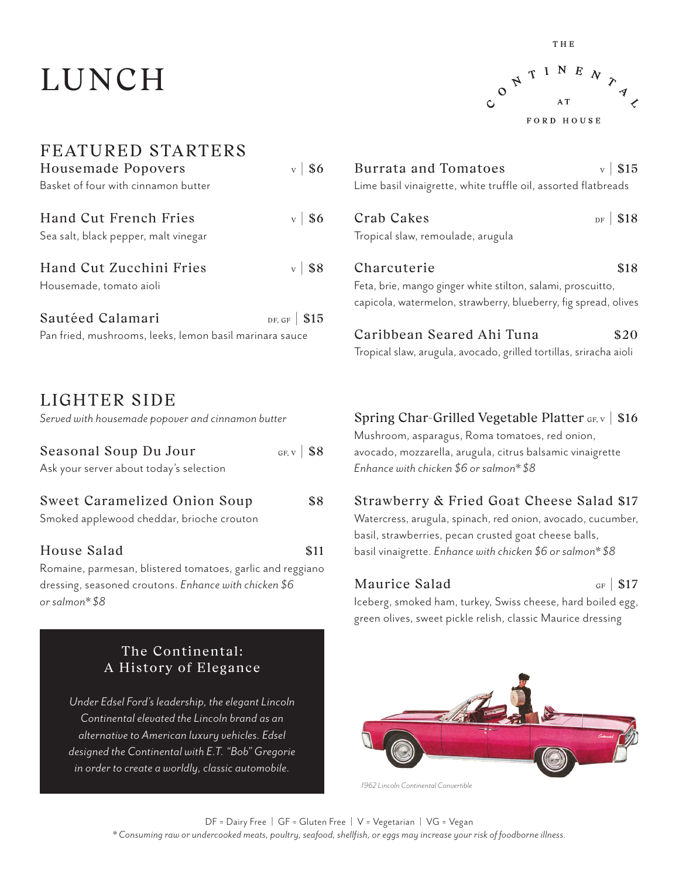# LUNCH

THE



 $v$  | \$15

| <b>FEATURED STARTERS</b><br>Housemade Popovers          | \$6<br>$\mathbf{v}$ | Burrata and Tomatoes                                           | $v$   \$1 |
|---------------------------------------------------------|---------------------|----------------------------------------------------------------|-----------|
| Basket of four with cinnamon butter                     |                     | Lime basil vinaigrette, white truffle oil, assorted flatbreads |           |
| Hand Cut French Fries                                   | $\mathbf{v}$ \ \$6  | Crab Cakes                                                     | $DF$ \$1  |
| Sea salt, black pepper, malt vinegar                    |                     | Tropical slaw, remoulade, arugula                              |           |
| Hand Cut Zucchini Fries                                 | $v$   \$8           | Charcuterie                                                    | <b>S1</b> |
| Housemade, tomato aioli                                 |                     | Feta, brie, mango ginger white stilton, salami, proscuitto,    |           |
| Sautéed Calamari                                        | DF, GF $\vert$ \$15 | capicola, watermelon, strawberry, blueberry, fig spread, oliv  |           |
| Pan fried, mushrooms, leeks, lemon basil marinara sauce |                     | Caribbean Seared Ahi Tuna                                      | \$2       |
|                                                         |                     |                                                                |           |

## LIGHTER SIDE

*Served with housemade popover and cinnamon butter*

| Seasonal Soup Du Jour<br>Ask your server about today's selection          | GF, $v$   \$8 |  |  |
|---------------------------------------------------------------------------|---------------|--|--|
| Sweet Caramelized Onion Soup<br>Smoked applewood cheddar, brioche crouton | \$8           |  |  |
| House Salad                                                               | \$11          |  |  |
| Romaine, parmesan, blistered tomatoes, garlic and reggiano                |               |  |  |
| dressing, seasoned croutons. Enhance with chicken \$6                     |               |  |  |
| or salmon* \$8                                                            |               |  |  |

#### The Continental: A History of Elegance

*Under Edsel Ford's leadership, the elegant Lincoln Continental elevated the Lincoln brand as an alternative to American luxury vehicles. Edsel designed the Continental with E.T. "Bob" Gregorie in order to create a worldly, classic automobile.*

| Crab Cakes<br>Tropical slaw, remoulade, arugula                                                                                               | $DF$ \$18 |
|-----------------------------------------------------------------------------------------------------------------------------------------------|-----------|
| Charcuterie<br>Feta, brie, mango ginger white stilton, salami, proscuitto,<br>capicola, watermelon, strawberry, blueberry, fig spread, olives | \$18      |
| Caribbean Seared Ahi Tuna                                                                                                                     |           |

Tropical slaw, arugula, avocado, grilled tortillas, sriracha aioli

#### Spring Char-Grilled Vegetable Platter  $GF_X \mid $16$

Mushroom, asparagus, Roma tomatoes, red onion, avocado, mozzarella, arugula, citrus balsamic vinaigrette *Enhance with chicken \$6 or salmon\* \$8*

#### Strawberry & Fried Goat Cheese Salad \$17

Watercress, arugula, spinach, red onion, avocado, cucumber, basil, strawberries, pecan crusted goat cheese balls, basil vinaigrette. *Enhance with chicken \$6 or salmon\* \$8*

#### Maurice Salad  $G_F | S17$

Iceberg, smoked ham, turkey, Swiss cheese, hard boiled egg, green olives, sweet pickle relish, classic Maurice dressing



*1962 Lincoln Continental Convertible*